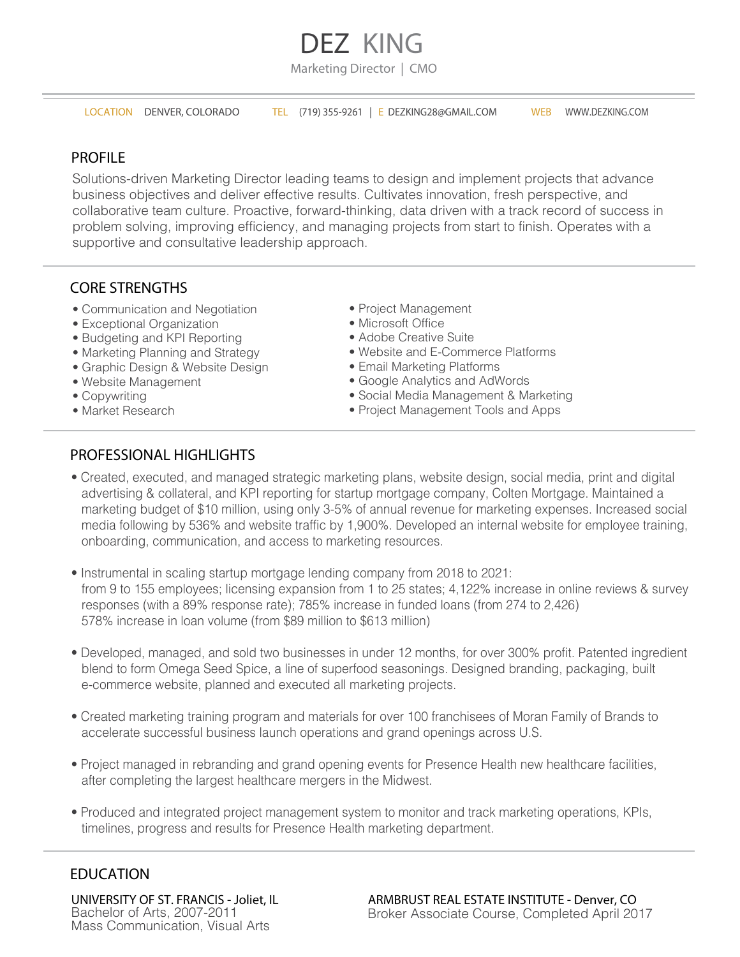# **DEZ KING**

Marketing Director | CMO

LOCATION DENVER, COLORADO TEL (719) 355-9261 | E DEZKING28@GMAIL.COM WEB WWW.DEZKING.COM

## PROFILE

Solutions-driven Marketing Director leading teams to design and implement projects that advance business objectives and deliver effective results. Cultivates innovation, fresh perspective, and collaborative team culture. Proactive, forward-thinking, data driven with a track record of success in problem solving, improving efficiency, and managing projects from start to finish. Operates with a supportive and consultative leadership approach.

## CORE STRENGTHS

- Communication and Negotiation
- Exceptional Organization
- Budgeting and KPI Reporting
- Marketing Planning and Strategy
- Graphic Design & Website Design
- Website Management
- Copywriting
- Market Research
- Project Management
- Microsoft Office
- Adobe Creative Suite
- Website and E-Commerce Platforms
- Email Marketing Platforms
- Google Analytics and AdWords
- Social Media Management & Marketing
- Project Management Tools and Apps

## PROFESSIONAL HIGHLIGHTS

- Created, executed, and managed strategic marketing plans, website design, social media, print and digital advertising & collateral, and KPI reporting for startup mortgage company, Colten Mortgage. Maintained a marketing budget of \$10 million, using only 3-5% of annual revenue for marketing expenses. Increased social media following by 536% and website traffic by 1,900%. Developed an internal website for employee training, onboarding, communication, and access to marketing resources.
- Instrumental in scaling startup mortgage lending company from 2018 to 2021: from 9 to 155 employees; licensing expansion from 1 to 25 states; 4,122% increase in online reviews & survey responses (with a 89% response rate); 785% increase in funded loans (from 274 to 2,426) 578% increase in loan volume (from \$89 million to \$613 million)
- Developed, managed, and sold two businesses in under 12 months, for over 300% profit. Patented ingredient blend to form Omega Seed Spice, a line of superfood seasonings. Designed branding, packaging, built e-commerce website, planned and executed all marketing projects.
- Created marketing training program and materials for over 100 franchisees of Moran Family of Brands to accelerate successful business launch operations and grand openings across U.S.
- Project managed in rebranding and grand opening events for Presence Health new healthcare facilities, after completing the largest healthcare mergers in the Midwest.
- Produced and integrated project management system to monitor and track marketing operations, KPIs, timelines, progress and results for Presence Health marketing department.

## EDUCATION

UNIVERSITY OF ST. FRANCIS - Joliet, IL Bachelor of Arts, 2007-2011 Mass Communication, Visual Arts